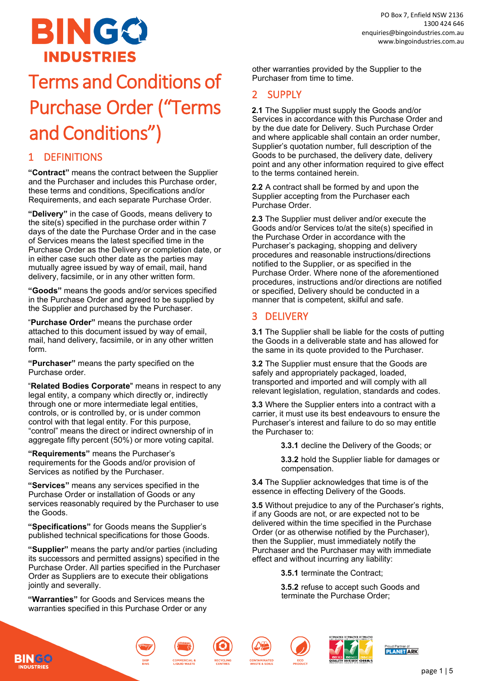

# Terms and Conditions of Purchase Order ("Terms and Conditions")

**"Contract"** means the contract between the Supplier and the Purchaser and includes this Purchase order, these terms and conditions, Specifications and/or Requirements, and each separate Purchase Order.

**"Delivery"** in the case of Goods, means delivery to the site(s) specified in the purchase order within 7 days of the date the Purchase Order and in the case of Services means the latest specified time in the Purchase Order as the Delivery or completion date, or in either case such other date as the parties may mutually agree issued by way of email, mail, hand delivery, facsimile, or in any other written form.

**"Goods"** means the goods and/or services specified in the Purchase Order and agreed to be supplied by the Supplier and purchased by the Purchaser.

"**Purchase Order"** means the purchase order attached to this document issued by way of email, mail, hand delivery, facsimile, or in any other written form.

**"Purchaser"** means the party specified on the Purchase order.

"**Related Bodies Corporate**" means in respect to any legal entity, a company which directly or, indirectly through one or more intermediate legal entities, controls, or is controlled by, or is under common control with that legal entity. For this purpose, "control" means the direct or indirect ownership of in aggregate fifty percent (50%) or more voting capital.

**"Requirements"** means the Purchaser's requirements for the Goods and/or provision of Services as notified by the Purchaser.

**"Services"** means any services specified in the Purchase Order or installation of Goods or any services reasonably required by the Purchaser to use the Goods.

**"Specifications"** for Goods means the Supplier's published technical specifications for those Goods.

**"Supplier"** means the party and/or parties (including its successors and permitted assigns) specified in the Purchase Order. All parties specified in the Purchaser Order as Suppliers are to execute their obligations jointly and severally.

**"Warranties"** for Goods and Services means the warranties specified in this Purchase Order or any

other warranties provided by the Supplier to the Purchaser from time to time.

## 2 SUPPLY

**2.1** The Supplier must supply the Goods and/or Services in accordance with this Purchase Order and by the due date for Delivery. Such Purchase Order and where applicable shall contain an order number, Supplier's quotation number, full description of the Goods to be purchased, the delivery date, delivery point and any other information required to give effect to the terms contained herein.

**2.2** A contract shall be formed by and upon the Supplier accepting from the Purchaser each Purchase Order.

**2.3** The Supplier must deliver and/or execute the Goods and/or Services to/at the site(s) specified in the Purchase Order in accordance with the Purchaser's packaging, shopping and delivery procedures and reasonable instructions/directions notified to the Supplier, or as specified in the Purchase Order. Where none of the aforementioned procedures, instructions and/or directions are notified or specified, Delivery should be conducted in a manner that is competent, skilful and safe.

# 3 DELIVERY

**3.1** The Supplier shall be liable for the costs of putting the Goods in a deliverable state and has allowed for the same in its quote provided to the Purchaser.

**3.2** The Supplier must ensure that the Goods are safely and appropriately packaged, loaded, transported and imported and will comply with all relevant legislation, regulation, standards and codes.

**3.3** Where the Supplier enters into a contract with a carrier, it must use its best endeavours to ensure the Purchaser's interest and failure to do so may entitle the Purchaser to:

**3.3.1** decline the Delivery of the Goods; or

**3.3.2** hold the Supplier liable for damages or compensation.

**3.4** The Supplier acknowledges that time is of the essence in effecting Delivery of the Goods.

**3.5** Without prejudice to any of the Purchaser's rights, if any Goods are not, or are expected not to be delivered within the time specified in the Purchase Order (or as otherwise notified by the Purchaser), then the Supplier, must immediately notify the Purchaser and the Purchaser may with immediate effect and without incurring any liability:

**3.5.1** terminate the Contract;

**3.5.2** refuse to accept such Goods and terminate the Purchase Order;









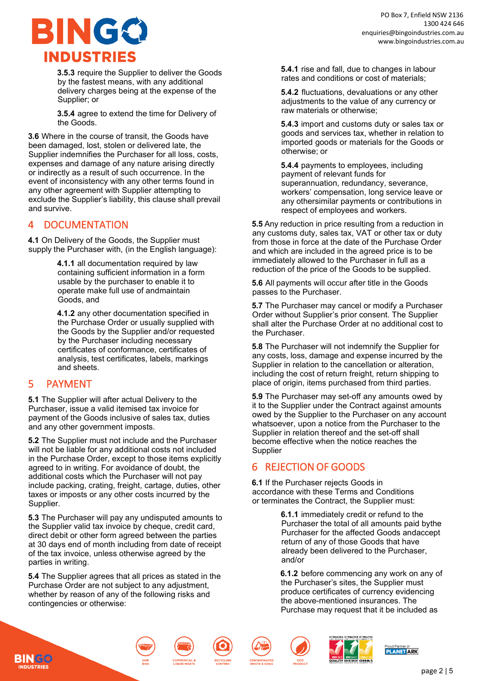

**3.5.3** require the Supplier to deliver the Goods by the fastest means, with any additional delivery charges being at the expense of the Supplier; or

**3.5.4** agree to extend the time for Delivery of the Goods.

**3.6** Where in the course of transit, the Goods have been damaged, lost, stolen or delivered late, the Supplier indemnifies the Purchaser for all loss, costs, expenses and damage of any nature arising directly or indirectly as a result of such occurrence. In the event of inconsistency with any other terms found in any other agreement with Supplier attempting to exclude the Supplier's liability, this clause shall prevail and survive.

### **DOCUMENTATION**

**4.1** On Delivery of the Goods, the Supplier must supply the Purchaser with, (in the English language):

> **4.1.1** all documentation required by law containing sufficient information in a form usable by the purchaser to enable it to operate make full use of andmaintain Goods, and

**4.1.2** any other documentation specified in the Purchase Order or usually supplied with the Goods by the Supplier and/or requested by the Purchaser including necessary certificates of conformance, certificates of analysis, test certificates, labels, markings and sheets.

### 5 PAYMENT

**5.1** The Supplier will after actual Delivery to the Purchaser, issue a valid itemised tax invoice for payment of the Goods inclusive of sales tax, duties and any other government imposts.

**5.2** The Supplier must not include and the Purchaser will not be liable for any additional costs not included in the Purchase Order, except to those items explicitly agreed to in writing. For avoidance of doubt, the additional costs which the Purchaser will not pay include packing, crating, freight, cartage, duties, other taxes or imposts or any other costs incurred by the Supplier.

**5.3** The Purchaser will pay any undisputed amounts to the Supplier valid tax invoice by cheque, credit card, direct debit or other form agreed between the parties at 30 days end of month including from date of receipt of the tax invoice, unless otherwise agreed by the parties in writing.

**5.4** The Supplier agrees that all prices as stated in the Purchase Order are not subject to any adjustment, whether by reason of any of the following risks and contingencies or otherwise:

**5.4.1** rise and fall, due to changes in labour rates and conditions or cost of materials;

**5.4.2** fluctuations, devaluations or any other adjustments to the value of any currency or raw materials or otherwise;

**5.4.3** import and customs duty or sales tax or goods and services tax, whether in relation to imported goods or materials for the Goods or otherwise; or

**5.4.4** payments to employees, including payment of relevant funds for superannuation, redundancy, severance, workers' compensation, long service leave or any othersimilar payments or contributions in respect of employees and workers.

**5.5** Any reduction in price resulting from a reduction in any customs duty, sales tax, VAT or other tax or duty from those in force at the date of the Purchase Order and which are included in the agreed price is to be immediately allowed to the Purchaser in full as a reduction of the price of the Goods to be supplied.

**5.6** All payments will occur after title in the Goods passes to the Purchaser.

**5.7** The Purchaser may cancel or modify a Purchaser Order without Supplier's prior consent. The Supplier shall alter the Purchase Order at no additional cost to the Purchaser.

**5.8** The Purchaser will not indemnify the Supplier for any costs, loss, damage and expense incurred by the Supplier in relation to the cancellation or alteration, including the cost of return freight, return shipping to place of origin, items purchased from third parties.

**5.9** The Purchaser may set-off any amounts owed by it to the Supplier under the Contract against amounts owed by the Supplier to the Purchaser on any account whatsoever, upon a notice from the Purchaser to the Supplier in relation thereof and the set-off shall become effective when the notice reaches the **Supplier** 

# 6 REJECTION OF GOODS

**6.1** If the Purchaser rejects Goods in accordance with these Terms and Conditions or terminates the Contract, the Supplier must:

> **6.1.1** immediately credit or refund to the Purchaser the total of all amounts paid bythe Purchaser for the affected Goods andaccept return of any of those Goods that have already been delivered to the Purchaser, and/or

> **6.1.2** before commencing any work on any of the Purchaser's sites, the Supplier must produce certificates of currency evidencing the above-mentioned insurances. The Purchase may request that it be included as





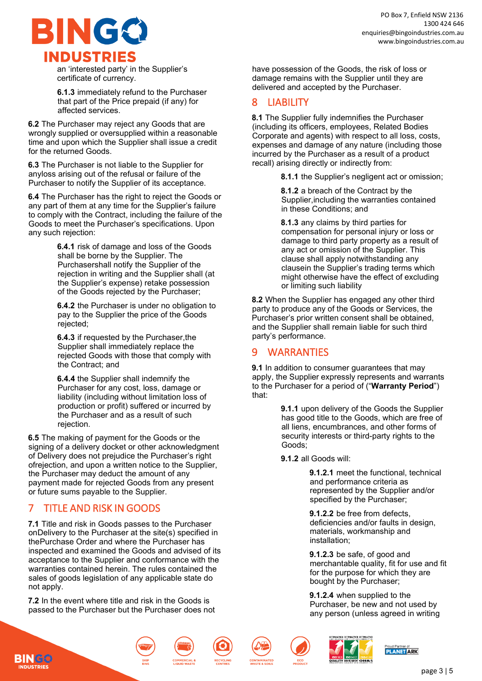

an 'interested party' in the Supplier's certificate of currency.

**6.1.3** immediately refund to the Purchaser that part of the Price prepaid (if any) for affected services.

**6.2** The Purchaser may reject any Goods that are wrongly supplied or oversupplied within a reasonable time and upon which the Supplier shall issue a credit for the returned Goods.

**6.3** The Purchaser is not liable to the Supplier for anyloss arising out of the refusal or failure of the Purchaser to notify the Supplier of its acceptance.

**6.4** The Purchaser has the right to reject the Goods or any part of them at any time for the Supplier's failure to comply with the Contract, including the failure of the Goods to meet the Purchaser's specifications. Upon any such rejection:

> **6.4.1** risk of damage and loss of the Goods shall be borne by the Supplier. The Purchasershall notify the Supplier of the rejection in writing and the Supplier shall (at the Supplier's expense) retake possession of the Goods rejected by the Purchaser;

> **6.4.2** the Purchaser is under no obligation to pay to the Supplier the price of the Goods rejected;

**6.4.3** if requested by the Purchaser,the Supplier shall immediately replace the rejected Goods with those that comply with the Contract; and

**6.4.4** the Supplier shall indemnify the Purchaser for any cost, loss, damage or liability (including without limitation loss of production or profit) suffered or incurred by the Purchaser and as a result of such rejection.

**6.5** The making of payment for the Goods or the signing of a delivery docket or other acknowledgment of Delivery does not prejudice the Purchaser's right ofrejection, and upon a written notice to the Supplier, the Purchaser may deduct the amount of any payment made for rejected Goods from any present or future sums payable to the Supplier.

# 7 TITLE AND RISK IN GOODS

**7.1** Title and risk in Goods passes to the Purchaser onDelivery to the Purchaser at the site(s) specified in thePurchase Order and where the Purchaser has inspected and examined the Goods and advised of its acceptance to the Supplier and conformance with the warranties contained herein. The rules contained the sales of goods legislation of any applicable state do not apply.

**7.2** In the event where title and risk in the Goods is passed to the Purchaser but the Purchaser does not have possession of the Goods, the risk of loss or damage remains with the Supplier until they are delivered and accepted by the Purchaser.

# 8 LIABILITY

**8.1** The Supplier fully indemnifies the Purchaser (including its officers, employees, Related Bodies Corporate and agents) with respect to all loss, costs, expenses and damage of any nature (including those incurred by the Purchaser as a result of a product recall) arising directly or indirectly from:

**8.1.1** the Supplier's negligent act or omission;

**8.1.2** a breach of the Contract by the Supplier,including the warranties contained in these Conditions; and

**8.1.3** any claims by third parties for compensation for personal injury or loss or damage to third party property as a result of any act or omission of the Supplier. This clause shall apply notwithstanding any clausein the Supplier's trading terms which might otherwise have the effect of excluding or limiting such liability

**8.2** When the Supplier has engaged any other third party to produce any of the Goods or Services, the Purchaser's prior written consent shall be obtained, and the Supplier shall remain liable for such third party's performance.

### 9 WARRANTIES

**9.1** In addition to consumer guarantees that may apply, the Supplier expressly represents and warrants to the Purchaser for a period of ("**Warranty Period**") that:

> **9.1.1** upon delivery of the Goods the Supplier has good title to the Goods, which are free of all liens, encumbrances, and other forms of security interests or third-party rights to the Goods;

**9.1.2** all Goods will:

**9.1.2.1** meet the functional, technical and performance criteria as represented by the Supplier and/or specified by the Purchaser;

**9.1.2.2** be free from defects, deficiencies and/or faults in design, materials, workmanship and installation;

**9.1.2.3** be safe, of good and merchantable quality, fit for use and fit for the purpose for which they are bought by the Purchaser;

**9.1.2.4** when supplied to the Purchaser, be new and not used by any person (unless agreed in writing







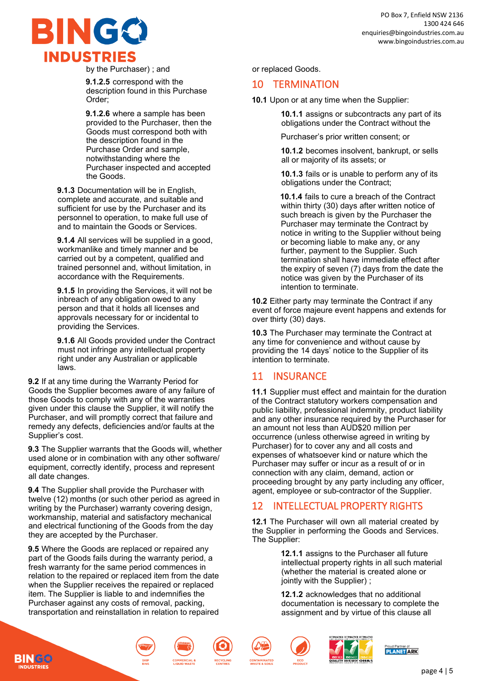

by the Purchaser) ; and

**9.1.2.5** correspond with the description found in this Purchase Order;

**9.1.2.6** where a sample has been provided to the Purchaser, then the Goods must correspond both with the description found in the Purchase Order and sample, notwithstanding where the Purchaser inspected and accepted the Goods.

**9.1.3** Documentation will be in English, complete and accurate, and suitable and sufficient for use by the Purchaser and its personnel to operation, to make full use of and to maintain the Goods or Services.

**9.1.4** All services will be supplied in a good, workmanlike and timely manner and be carried out by a competent, qualified and trained personnel and, without limitation, in accordance with the Requirements.

**9.1.5** In providing the Services, it will not be inbreach of any obligation owed to any person and that it holds all licenses and approvals necessary for or incidental to providing the Services.

**9.1.6** All Goods provided under the Contract must not infringe any intellectual property right under any Australian or applicable laws.

**9.2** If at any time during the Warranty Period for Goods the Supplier becomes aware of any failure of those Goods to comply with any of the warranties given under this clause the Supplier, it will notify the Purchaser, and will promptly correct that failure and remedy any defects, deficiencies and/or faults at the Supplier's cost.

**9.3** The Supplier warrants that the Goods will, whether used alone or in combination with any other software/ equipment, correctly identify, process and represent all date changes.

**9.4** The Supplier shall provide the Purchaser with twelve (12) months (or such other period as agreed in writing by the Purchaser) warranty covering design, workmanship, material and satisfactory mechanical and electrical functioning of the Goods from the day they are accepted by the Purchaser.

**9.5** Where the Goods are replaced or repaired any part of the Goods fails during the warranty period, a fresh warranty for the same period commences in relation to the repaired or replaced item from the date when the Supplier receives the repaired or replaced item. The Supplier is liable to and indemnifies the Purchaser against any costs of removal, packing, transportation and reinstallation in relation to repaired

or replaced Goods.

#### 10 TERMINATION

**10.1** Upon or at any time when the Supplier:

**10.1.1** assigns or subcontracts any part of its obligations under the Contract without the

Purchaser's prior written consent; or

**10.1.2** becomes insolvent, bankrupt, or sells all or majority of its assets; or

**10.1.3** fails or is unable to perform any of its obligations under the Contract;

**10.1.4** fails to cure a breach of the Contract within thirty (30) days after written notice of such breach is given by the Purchaser the Purchaser may terminate the Contract by notice in writing to the Supplier without being or becoming liable to make any, or any further, payment to the Supplier. Such termination shall have immediate effect after the expiry of seven (7) days from the date the notice was given by the Purchaser of its intention to terminate.

**10.2** Either party may terminate the Contract if any event of force majeure event happens and extends for over thirty (30) days.

**10.3** The Purchaser may terminate the Contract at any time for convenience and without cause by providing the 14 days' notice to the Supplier of its intention to terminate.

#### 11 INSURANCE

**11.1** Supplier must effect and maintain for the duration of the Contract statutory workers compensation and public liability, professional indemnity, product liability and any other insurance required by the Purchaser for an amount not less than AUD\$20 million per occurrence (unless otherwise agreed in writing by Purchaser) for to cover any and all costs and expenses of whatsoever kind or nature which the Purchaser may suffer or incur as a result of or in connection with any claim, demand, action or proceeding brought by any party including any officer, agent, employee or sub-contractor of the Supplier.

### 12 INTELLECTUAL PROPERTY RIGHTS

**12.1** The Purchaser will own all material created by the Supplier in performing the Goods and Services. The Supplier:

> **12.1.1** assigns to the Purchaser all future intellectual property rights in all such material (whether the material is created alone or jointly with the Supplier) ;

**12.1.2** acknowledges that no additional documentation is necessary to complete the assignment and by virtue of this clause all